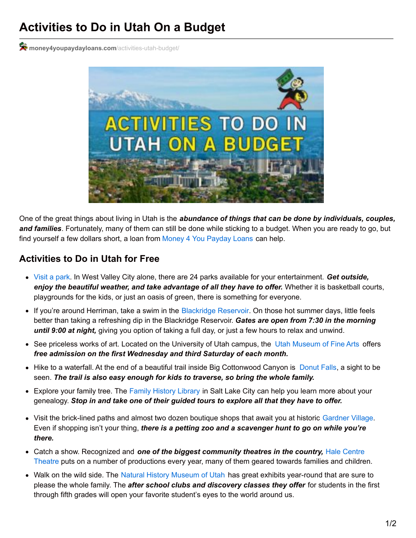## **Activities to Do in Utah On a Budget**

 $\mathcal{R}$  [money4youpaydayloans.com](https://money4youpaydayloans.com/activities-utah-budget/)/activities-utah-budget/



One of the great things about living in Utah is the *abundance of things that can be done by individuals, couples, and families*. Fortunately, many of them can still be done while sticking to a budget. When you are ready to go, but find yourself a few dollars short, a loan from Money 4 You [Payday](https://money4youpaydayloans.com/) Loans can help.

## **Activities to Do in Utah for Free**

- [Visit](http://www.slcgov.com/parks) a park. In West Valley City alone, there are 24 parks available for your entertainment. *Get outside, enjoy the beautiful weather, and take advantage of all they have to offer.* Whether it is basketball courts, playgrounds for the kids, or just an oasis of green, there is something for everyone.
- If you're around Herriman, take a swim in the [Blackridge](http://www.herriman.org/city-departments/parks/blackridge-reservoir/) Reservoir. On those hot summer days, little feels better than taking a refreshing dip in the Blackridge Reservoir. *Gates are open from 7:30 in the morning until 9:00 at night,* giving you option of taking a full day, or just a few hours to relax and unwind.
- See priceless works of art. Located on the University of Utah campus, the Utah [Museum](http://umfa.utah.edu/) of Fine Arts offers *free admission on the first Wednesday and third Saturday of each month.*
- Hike to a waterfall. At the end of a beautiful trail inside Big Cottonwood Canyon is [Donut](https://utah.com/hiking/donut-falls) Falls, a sight to be seen. *The trail is also easy enough for kids to traverse, so bring the whole family.*
- Explore your family tree. The Family [History](https://familysearch.org/locations/saltlakecity-library) Library in Salt Lake City can help you learn more about your genealogy. *Stop in and take one of their guided tours to explore all that they have to offer.*
- Visit the brick-lined paths and almost two dozen boutique shops that await you at historic [Gardner](http://www.gardnervillage.com/) Village. Even if shopping isn't your thing, *there is a petting zoo and a scavenger hunt to go on while you're there.*
- Catch a show. Recognized and *one of the biggest [community](https://hct.org/online/) theatres in the country,* Hale Centre Theatre puts on a number of productions every year, many of them geared towards families and children.
- Walk on the wild side. The Natural History [Museum](https://nhmu.utah.edu/) of Utah has great exhibits year-round that are sure to please the whole family. The *after school clubs and discovery classes they offer* for students in the first through fifth grades will open your favorite student's eyes to the world around us.